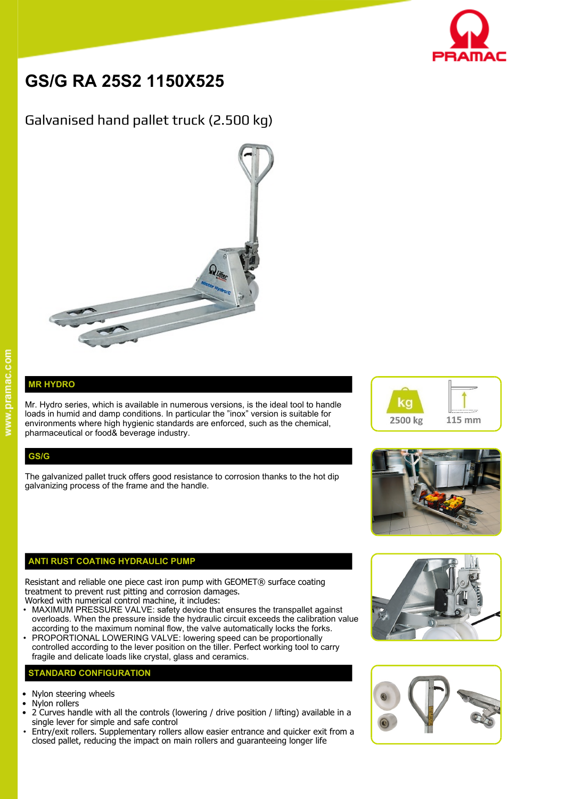

# **GS/G RA 25S2 1150X525**

# Galvanised hand pallet truck (2.500 kg)



## **MR HYDRO**

Mr. Hydro series, which is available in numerous versions, is the ideal tool to handle  $\blacksquare$ loads in humid and damp conditions. In particular the "inox" version is suitable for environments where high hygienic standards are enforced, such as the chemical, pharmaceutical or food& beverage industry.

### **GS/G**

The galvanized pallet truck offers good resistance to corrosion thanks to the hot dip galvanizing process of the frame and the handle.

#### **ANTI RUST COATING HYDRAULIC PUMP**

Resistant and reliable one piece cast iron pump with GEOMET® surface coating treatment to prevent rust pitting and corrosion damages.

- Worked with numerical control machine, it includes: • MAXIMUM PRESSURE VALVE: safety device that ensures the transpallet against overloads. When the pressure inside the hydraulic circuit exceeds the calibration value according to the maximum nominal flow, the valve automatically locks the forks.
- PROPORTIONAL LOWERING VALVE: lowering speed can be proportionally controlled according to the lever position on the tiller. Perfect working tool to carry fragile and delicate loads like crystal, glass and ceramics.

#### **STANDARD CONFIGURATION**

- Nylon steering wheels
- Nylon rollers
- 2 Curves handle with all the controls (lowering / drive position / lifting) available in a single lever for simple and safe control
- Entry/exit rollers. Supplementary rollers allow easier entrance and quicker exit from a closed pallet, reducing the impact on main rollers and guaranteeing longer life







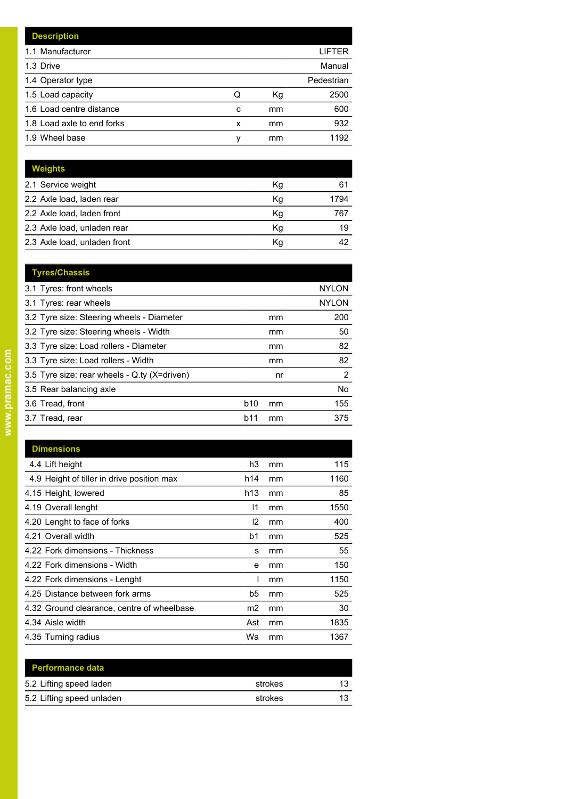|   |    | LIFTER     |
|---|----|------------|
|   |    | Manual     |
|   |    | Pedestrian |
| Q | Кg | 2500       |
| c | mm | 600        |
| x | mm | 932        |
| ν | mm | 1192       |
|   |    |            |

| <b>Weights</b>               |    |      |
|------------------------------|----|------|
| 2.1 Service weight           | Кg | 61   |
| 2.2 Axle load, laden rear    | Κq | 1794 |
| 2.2 Axle load, laden front   | Кg | 767  |
| 2.3 Axle load, unladen rear  | Кg | 19   |
| 2.3 Axle load, unladen front | Κq | 42   |

| <b>Tyres/Chassis</b>                         |            |    |                |
|----------------------------------------------|------------|----|----------------|
| 3.1 Tyres: front wheels                      |            |    | <b>NYLON</b>   |
| 3.1 Tyres: rear wheels                       |            |    | <b>NYLON</b>   |
| 3.2 Tyre size: Steering wheels - Diameter    |            | mm | 200            |
| 3.2 Tyre size: Steering wheels - Width       |            | mm | 50             |
| 3.3 Tyre size: Load rollers - Diameter       |            | mm | 82             |
| 3.3 Tyre size: Load rollers - Width          |            | mm | 82             |
| 3.5 Tyre size: rear wheels - Q.ty (X=driven) |            | nr | $\overline{2}$ |
| 3.5 Rear balancing axle                      |            |    | No.            |
| 3.6 Tread, front                             | <b>b10</b> | mm | 155            |
| 3.7 Tread, rear                              | b11        | mm | 375            |
|                                              |            |    |                |

| <b>Dimensions</b>                          |               |    |      |
|--------------------------------------------|---------------|----|------|
| 4.4 Lift height                            | h3            | mm | 115  |
| 4.9 Height of tiller in drive position max | h14           | mm | 1160 |
| 4.15 Height, lowered                       | h13           | mm | 85   |
| 4.19 Overall lenght                        | 11            | mm | 1550 |
| 4.20 Lenght to face of forks               | $\mathsf{I2}$ | mm | 400  |
| 4.21 Overall width                         | b1            | mm | 525  |
| 4.22 Fork dimensions - Thickness           | s             | mm | 55   |
| 4.22 Fork dimensions - Width               | е             | mm | 150  |
| 4.22 Fork dimensions - Lenght              |               | mm | 1150 |
| 4.25 Distance between fork arms            | b5            | mm | 525  |
| 4.32 Ground clearance, centre of wheelbase | m2            | mm | 30   |
| 4.34 Aisle width                           | Ast           | mm | 1835 |
| 4.35 Turning radius                        | Wa            | mm | 1367 |
|                                            |               |    |      |

| <b>Performance data</b>   |         |    |
|---------------------------|---------|----|
| 5.2 Lifting speed laden   | strokes | 13 |
| 5.2 Lifting speed unladen | strokes | 13 |
|                           |         |    |